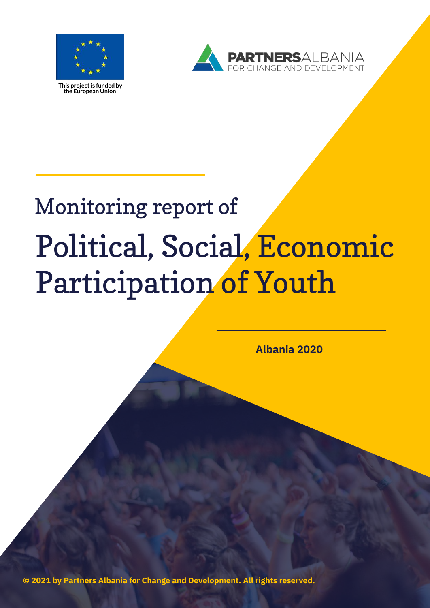

**This projectis funded by the European Union**



## Monitoring report of Political, Social, Economic Participation of Youth

**Albania 2020**

**© 2021 by Partners Albania for Change and Development. All rights reserved.**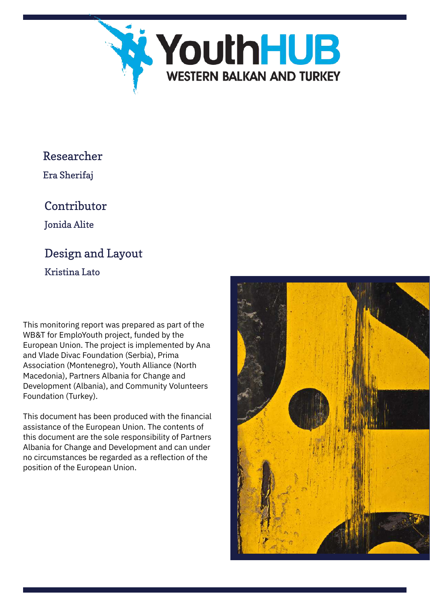

#### Researcher

Era Sherifaj

### Contributor

Jonida Alite

### Design and Layout

Kristina Lato

This monitoring report was prepared as part of the WB&T for EmploYouth project, funded by the European Union. The project is implemented by Ana and Vlade Divac Foundation (Serbia), Prima Association (Montenegro), Youth Alliance (North Macedonia), Partners Albania for Change and Development (Albania), and Community Volunteers Foundation (Turkey).

This document has been produced with the financial assistance of the European Union. The contents of this document are the sole responsibility of Partners Albania for Change and Development and can under no circumstances be regarded as a reflection of the position of the European Union.

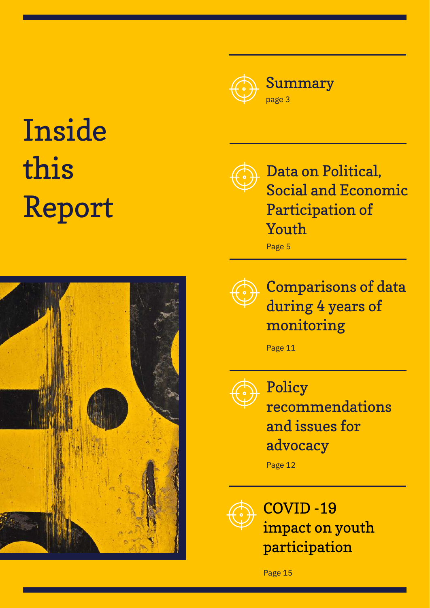

# Inside this Report



Data on Political, Social and Economic Participation of Youth

Page 5



Comparisons of data during 4 years of monitoring

Page 11



Policy recommendations and issues for advocacy

Page 12



COVID -19 impact on youth participation

Page 15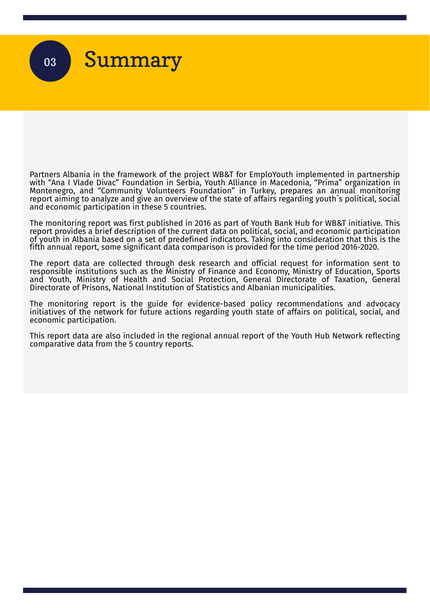

Partners Albania in the framework of the project WB&T for EmploYouth implemented in partnership with "Ana I Vlade Divac" Foundation in Serbia, Youth Alliance in Macedonia, "Prima" organization in Montenegro, and "Community Volunteers Foundation" in Turkey, prepares an annual monitoring report aiming to analyze and give an overview of the state of affairs regarding youth`s political, social and economic participation in these 5 countries.

The monitoring report was first published in 2016 as part of Youth Bank Hub for WB&T initiative. This report provides a brief description of the current data on political, social, and economic participation of youth in Albania based on a set of predefined indicators. Taking into consideration that this is the fifth annual report, some significant data comparison is provided for the time period 2016-2020.

The report data are collected through desk research and official request for information sent to responsible institutions such as the Ministry of Finance and Economy, Ministry of Education, Sports and Youth, Ministry of Health and Social Protection, General Directorate of Taxation, General Directorate of Prisons, National Institution of Statistics and Albanian municipalities.

The monitoring report is the guide for evidence-based policy recommendations and advocacy initiatives of the network for future actions regarding youth state of affairs on political, social, and economic participation.

This report data are also included in the regional annual report of the Youth Hub Network reflecting comparative data from the 5 country reports.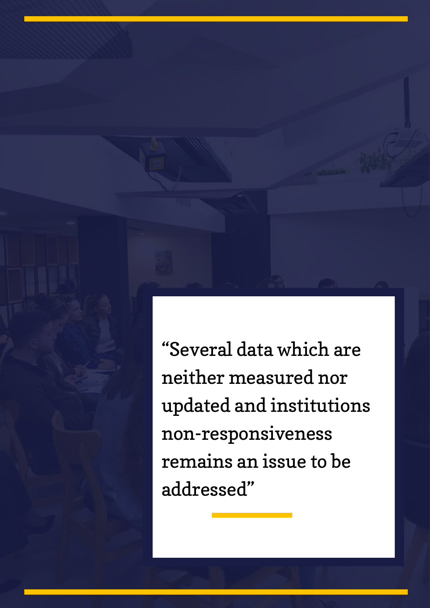"Several data which are neither measured nor updated and institutions non-responsiveness remains an issue to be addressed"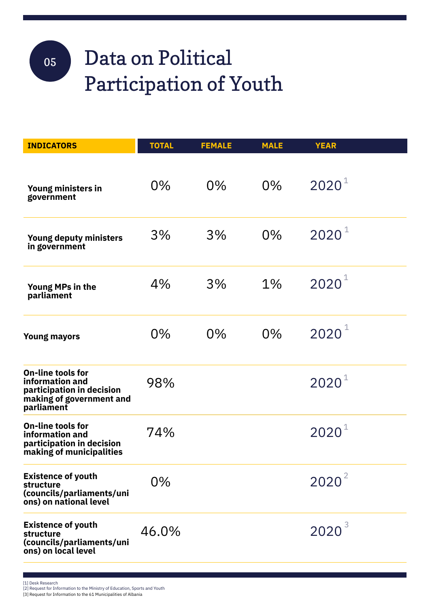### Data on Political Participation of Youth 05

| <b>INDICATORS</b>                                                                                                  | <b>TOTAL</b> | <b>FEMALE</b> | <b>MALE</b> | <b>YEAR</b>       |  |
|--------------------------------------------------------------------------------------------------------------------|--------------|---------------|-------------|-------------------|--|
| Young ministers in<br>government                                                                                   | 0%           | $0\%$         | 0%          | $2020^1$          |  |
| Young deputy ministers<br>in government                                                                            | 3%           | 3%            | $0\%$       | $2020^1$          |  |
| Young MPs in the<br>parliament                                                                                     | 4%           | 3%            | 1%          | $2020^{1}$        |  |
| <b>Young mayors</b>                                                                                                | $0\%$        | $0\%$         | $0\%$       | $2020^{1}$        |  |
| <b>On-line tools for</b><br>information and<br>participation in decision<br>making of government and<br>parliament | 98%          |               |             | $2020^1$          |  |
| <b>On-line tools for</b><br>information and<br>participation in decision<br>making of municipalities               | 74%          |               |             | $2020^{1}$        |  |
| <b>Existence of youth</b><br>structure<br>(councils/parliaments/uni<br>ons) on national level                      | $0\%$        |               |             | $2020^2$          |  |
| <b>Existence of youth</b><br>structure<br>(councils/parliaments/uni<br>ons) on local level                         | 46.0%        |               |             | 2020 <sup>3</sup> |  |

[1] Desk Research [2] Request for Information to the Ministry of Education, Sports and Youth [3] Request for Information to the 61 Municipalities of Albania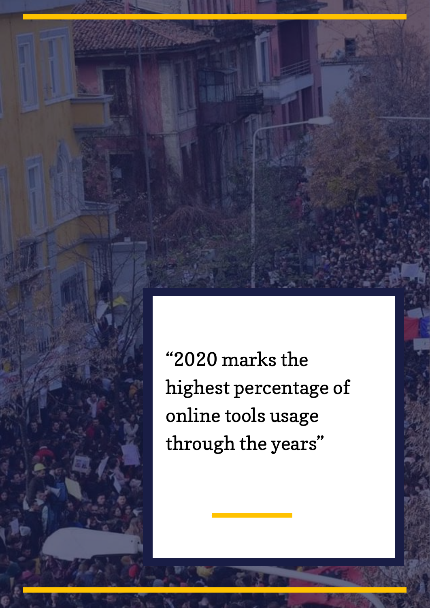"2020 marks the highest percentage of online tools usage through the years "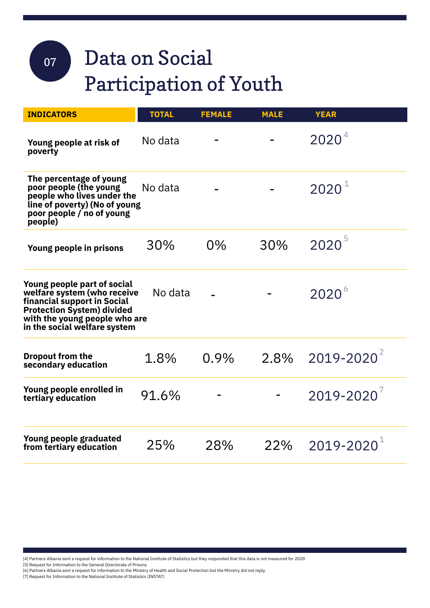## 07

### Data on Social Participation of Youth

| <b>INDICATORS</b>                                                                                                                                                                               | <b>TOTAL</b> | <b>FEMALE</b> | <b>MALE</b> | <b>YEAR</b>                    |
|-------------------------------------------------------------------------------------------------------------------------------------------------------------------------------------------------|--------------|---------------|-------------|--------------------------------|
| Young people at risk of<br>poverty                                                                                                                                                              | No data      |               |             | 2020 <sup>4</sup>              |
| The percentage of young<br>poor people (the young<br>people who lives under the<br>line of poverty) (No of young<br>poor people / no of young<br>people)                                        | No data      |               |             | $2020^{\circ}$                 |
| Young people in prisons                                                                                                                                                                         | 30%          | $0\%$         | 30%         | $2020^{5}$                     |
| Young people part of social<br>welfare system (who receive<br>financial support in Social<br><b>Protection System) divided</b><br>with the young people who are<br>in the social welfare system | No data      |               |             | $2020^{\circ}$                 |
| <b>Dropout from the</b><br>secondary education                                                                                                                                                  | 1.8%         | 0.9%          |             | $2.8\%$ 2019-2020 <sup>2</sup> |
| Young people enrolled in<br>tertiary education                                                                                                                                                  | 91.6%        |               |             | $2019 - 2020^7$                |
| Young people graduated<br>from tertiary education                                                                                                                                               | 25%          | 28%           | 22%         | $2019 - 2020$                  |

[4] Partners Albania sent a request for information to the National Institute of Statistics but they responded that this data is not measured for 2020

[5] Request for Information to theGeneral Directorate of Prisons

[6] Partners Albania sent a request for information to the Ministry of Health and Social Protection but the Ministry did not reply.

[7] Request for Information to the National Institute of Statistics (INSTAT)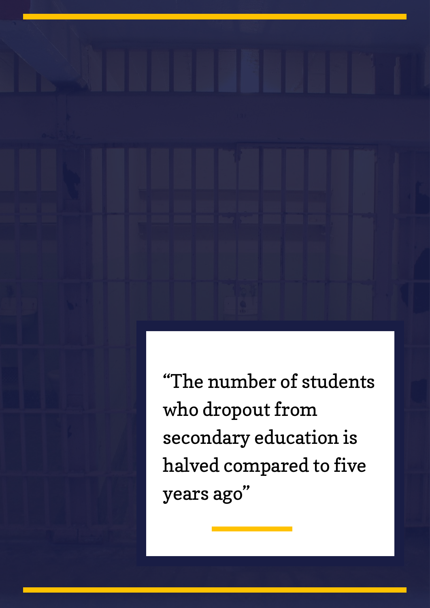"The number of students who dropout from secondary education is halved compared to five years ago "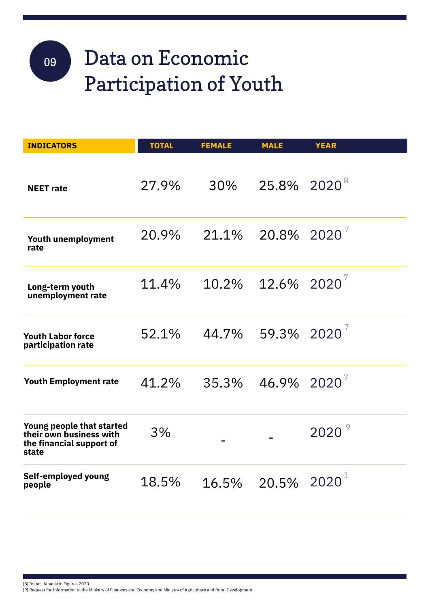### Data on Economic Participati on of Youth 09

| <b>INDICATORS</b>                                                                         | <b>TOTAL</b> | <b>FEMALE</b> | <b>MALE</b>                      | <b>YEAR</b> |
|-------------------------------------------------------------------------------------------|--------------|---------------|----------------------------------|-------------|
| <b>NEET</b> rate                                                                          | 27.9%        | 30%           | 25.8% 2020 <sup>8</sup>          |             |
| Youth unemployment<br>rate                                                                | 20.9%        |               | $21.1\%$ 20.8% 2020 <sup>7</sup> |             |
| Long-term youth<br>unemployment rate                                                      | 11.4%        | 10.2%         | $12.6\%$ 2020 <sup>7</sup>       |             |
| <b>Youth Labor force</b><br>participation rate                                            | 52.1%        |               | 44.7% 59.3% 2020                 |             |
| <b>Youth Employment rate</b>                                                              | 41.2%        |               | $35.3\%$ 46.9% 2020 <sup>7</sup> |             |
| Young people that started<br>their own business with<br>the financial support of<br>state | 3%           |               |                                  | 2020        |
| Self-employed young<br>people                                                             | 18.5%        | 16.5%         | 20.5% $2020^1$                   |             |

[8] Instat- Albania in Figures 2020

[9] Request for Information to the Ministry of Finances and Economy and Ministry of Agriculture and Rural Development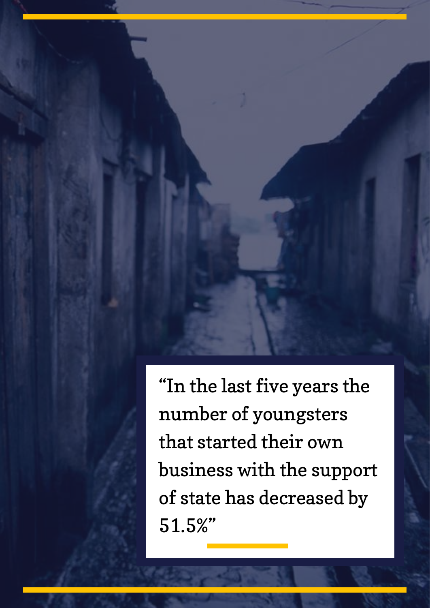"In the last five years the number of youngsters that started their own business with the support of state has decreased by 51.5%"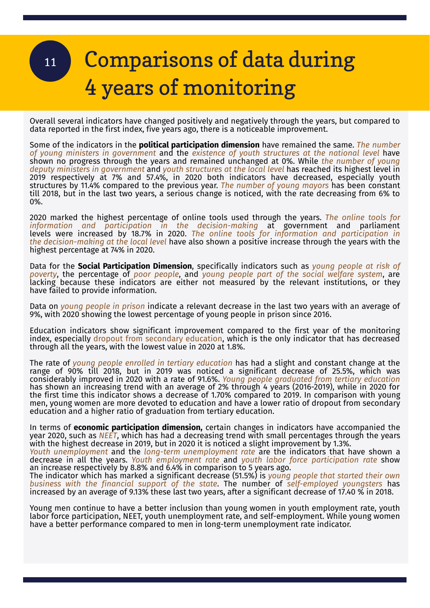## Comparisons of data during 114 years of monitoring

Overall several indicators have changed positively and negatively through the years, but compared to data reported in the first index, five years ago, there is a noticeable improvement.

Some of the indicators in the **political participation dimension** have remained the same. *The number of young ministers in government* and the *existence of youth structures at the national level* have shown no progress through the years and remained unchanged at 0%. While *the number of young deputy ministers in government* and *youth structures at the local level* has reached its highest level in 2019 respectively at 7% and 57.4%, in 2020 both indicators have decreased, especially youth structures by 11.4% compared to the previous year. *The number of young mayors* has been constant till 2018, but in the last two years, a serious change is noticed, with the rate decreasing from 6% to 0%.

2020 marked the highest percentage of online tools used through the years. *The online tools for information and participation in the decision-making* at government and parliament levels were increased by 18.7% in 2020. *The online tools for information and participation in the decision-making at the local level* have also shown a positive increase through the years with the highest percentage at 74% in 2020.

Data for the **Social Participation Dimension**, specifically indicators such as *young people at risk of poverty*, the percentage of *poor people*, and *young people part of the social welfare system*, are lacking because these indicators are either not measured by the relevant institutions, or they have failed to provide information.

Data on *young people in prison* indicate a relevant decrease in the last two years with an average of 9%, with 2020 showing the lowest percentage of young people in prison since 2016.

Education indicators show significant improvement compared to the first year of the monitoring index, especially dropout from secondary education, which is the only indicator that has decreased through all the years, with the lowest value in 2020 at 1.8%.

The rate of *young people enrolled in tertiary education* has had a slight and constant change at the range of 90% till 2018, but in 2019 was noticed a significant decrease of 25.5%, which was considerably improved in 2020 with a rate of 91.6%. *Young people graduated from tertiary education* has shown an increasing trend with an average of 2% through 4 years (2016-2019), while in 2020 for the first time this indicator shows a decrease of 1.70% compared to 2019. In comparison with young men, young women are more devoted to education and have a lower ratio of dropout from secondary education and a higher ratio of graduation from tertiary education.

In terms of **economic participation dimension,** certain changes in indicators have accompanied the year 2020, such as *NEET*, which has had a decreasing trend with small percentages through the years with the highest decrease in 2019, but in 2020 it is noticed a slight improvement by 1.3%.

*Youth unemployment* and the *long-term unemployment rate* are the indicators that have shown a decrease in all the years. *Youth employment rate* and *youth labor force participation rate* show an increase respectively by 8.8% and 6.4% in comparison to 5 years ago.

The indicator which has marked a significant decrease (51.5%) is *young people that started their own business with the financial support of the state*. The number of *self-employed youngsters* has increased by an average of 9.13% these last two years, after a significant decrease of 17.40 % in 2018.

Young men continue to have a better inclusion than young women in youth employment rate, youth labor force participation, NEET, youth unemployment rate, and self-employment. While young women have a better performance compared to men in long-term unemployment rate indicator.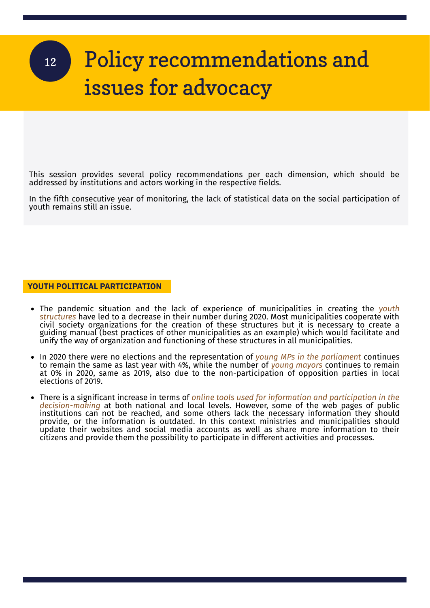### Policy recommendations and issues for advocacy 12

This session provides several policy recommendations per each dimension, which should be addressed by institutions and actors working in the respective fields.

In the fifth consecutive year of monitoring, the lack of statistical data on the social participation of youth remains still an issue.

**YOUTH POLITICAL PARTICIPATION**

- The pandemic situation and the lack of experience of municipalities in creating the *youth structures* have led to a decrease in their number during 2020. Most municipalities cooperate with civil society organizations for the creation of these structures but it is necessary to create a guiding manual (best practices of other municipalities as an example) which would facilitate and unify the way of organization and functioning of these structures in all municipalities.
- In 2020 there were no elections and the representation of *young MPs in the parliament* continues to remain the same as last year with 4%, while the number of *young mayors* continues to remain at 0% in 2020, same as 2019, also due to the non-participation of opposition parties in local elections of 2019.
- There is a significant increase in terms of *online tools used for information and participation in the decision-making* at both national and local levels. However, some of the web pages of public institutions can not be reached, and some others lack the necessary information they should provide, or the information is outdated. In this context ministries and municipalities should update their websites and social media accounts as well as share more information to their citizens and provide them the possibility to participate in different activities and processes.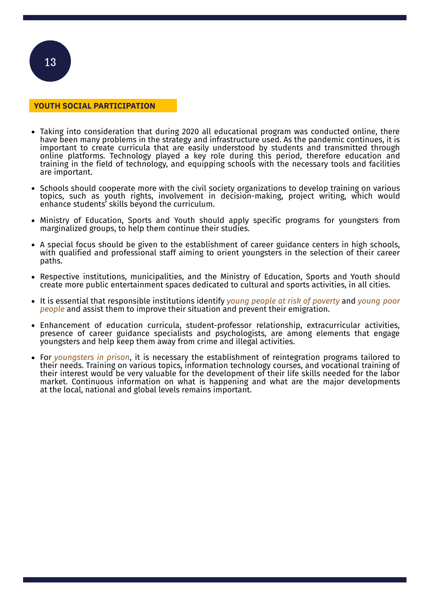

- Taking into consideration that during 2020 all educational program was conducted online, there have been many problems in the strategy and infrastructure used. As the pandemic continues, it is important to create curricula that are easily understood by students and transmitted through online platforms. Technology played a key role during this period, therefore education and training in the field of technology, and equipping schools with the necessary tools and facilities are important.
- $\bullet$  Schools should cooperate more with the civil society organizations to develop training on various topics, such as youth rights, involvement in decision-making, project writing, which would enhance students' skills beyond the curriculum.
- Ministry of Education, Sports and Youth should apply specific programs for youngsters from marginalized groups, to help them continue their studies.
- A special focus should be given to the establishment of career guidance centers in high schools, with qualified and professional staff aiming to orient youngsters in the selection of their career paths.
- Respective institutions, municipalities, and the Ministry of Education, Sports and Youth should create more public entertainment spaces dedicated to cultural and sports activities, in all cities.
- It is essential that responsible institutions identify *young people at risk of poverty* and *young poor people* and assist them to improve their situation and prevent their emigration.
- Enhancement of education curricula, student-professor relationship, extracurricular activities, presence of career guidance specialists and psychologists, are among elements that engage youngsters and help keep them away from crime and illegal activities.
- For *youngsters in prison*, it is necessary the establishment of reintegration programs tailored to their needs. Training on various topics, information technology courses, and vocational training of their interest would be very valuable for the development of their life skills needed for the labor market. Continuous information on what is happening and what are the major developments at the local, national and global levels remains important.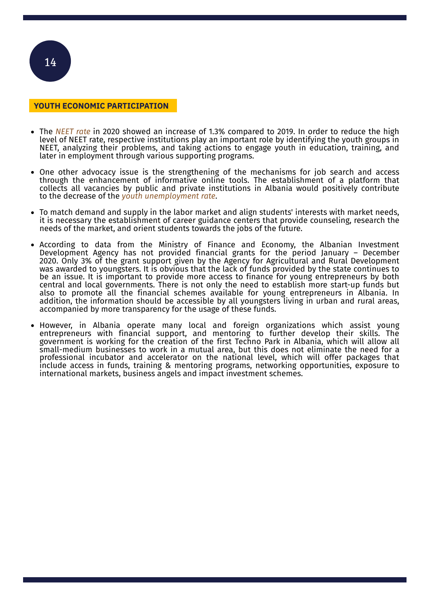

#### **YOUTH ECONOMIC PARTICIPATION**

- The *NEET rate* in 2020 showed an increase of 1.3% compared to 2019. In order to reduce the high level of NEET rate, respective institutions play an important role by identifying the youth groups in NEET, analyzing their problems, and taking actions to engage youth in education, training, and later in employment through various supporting programs.
- One other advocacy issue is the strengthening of the mechanisms for job search and access through the enhancement of informative online tools. The establishment of a platform that collects all vacancies by public and private institutions in Albania would positively contribute to the decrease of the *youth unemployment rate*.
- To match demand and supply in the labor market and align students' interests with market needs, it is necessary the establishment of career guidance centers that provide counseling, research the needs of the market, and orient students towards the jobs of the future.
- According to data from the Ministry of Finance and Economy, the Albanian Investment Development Agency has not provided financial grants for the period January – December 2020. Only 3% of the grant support given by the Agency for Agricultural and Rural Development was awarded to youngsters. It is obvious that the lack of funds provided by the state continues to be an issue. It is important to provide more access to finance for young entrepreneurs by both central and local governments. There is not only the need to establish more start-up funds but also to promote all the financial schemes available for young entrepreneurs in Albania. In addition, the information should be accessible by all youngsters living in urban and rural areas, accompanied by more transparency for the usage of these funds.
- However, in Albania operate many local and foreign organizations which assist young entrepreneurs with financial support, and mentoring to further develop their skills. The government is working for the creation of the first Techno Park in Albania, which will allow all small-medium businesses to work in a mutual area, but this does not eliminate the need for a professional incubator and accelerator on the national level, which will offer packages that include access in funds, training & mentoring programs, networking opportunities, exposure to international markets, business angels and impact investment schemes.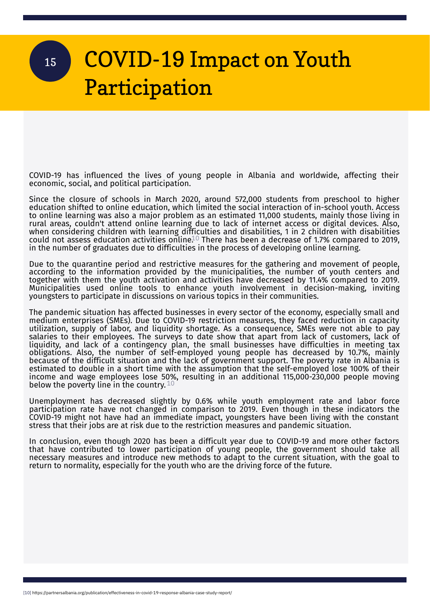### COVID-19 Impact on Youth Participation 15

COVID-19 has influenced the lives of young people in Albania and worldwide, affecting their economic, social, and political participation.

Since the closure of schools in March 2020, around 572,000 students from preschool to higher education shifted to online education, which limited the social interaction of in-school youth. Access to online learning was also a major problem as an estimated 11,000 students, mainly those living in rural areas, couldn't attend online learning due to lack of internet access or digital devices. Also, when considering children with learning difficulties and disabilities, 1 in 2 children with disabilities could not assess education activities online.<sup>10</sup> There has been a decrease of 1.7% compared to 2019, in the number of graduates due to difficulties in the process of developing online learning.

Due to the quarantine period and restrictive measures for the gathering and movement of people, according to the information provided by the municipalities, the number of youth centers and together with them the youth activation and activities have decreased by 11.4% compared to 2019. Municipalities used online tools to enhance youth involvement in decision-making, inviting youngsters to participate in discussions on various topics in their communities.

The pandemic situation has affected businesses in every sector of the economy, especially small and medium enterprises (SMEs). Due to COVID-19 restriction measures, they faced reduction in capacity utilization, supply of labor, and liquidity shortage. As a consequence, SMEs were not able to pay salaries to their employees. The surveys to date show that apart from lack of customers, lack of liquidity, and lack of a contingency plan, the small businesses have difficulties in meeting tax obligations. Also, the number of self-employed young people has decreased by 10.7%, mainly because of the difficult situation and the lack of government support. The poverty rate in Albania is estimated to double in a short time with the assumption that the self-employed lose 100% of their income and wage employees lose 50%, resulting in an additional 115,000-230,000 people moving below the poverty line in the country.  $^{\rm 10}$ 

Unemployment has decreased slightly by 0.6% while youth employment rate and labor force participation rate have not changed in comparison to 2019. Even though in these indicators the COVID-19 might not have had an immediate impact, youngsters have been living with the constant stress that their jobs are at risk due to the restriction measures and pandemic situation.

In conclusion, even though 2020 has been a difficult year due to COVID-19 and more other factors that have contributed to lower participation of young people, the government should take all necessary measures and introduce new methods to adapt to the current situation, with the goal to return to normality, especially for the youth who are the driving force of the future.